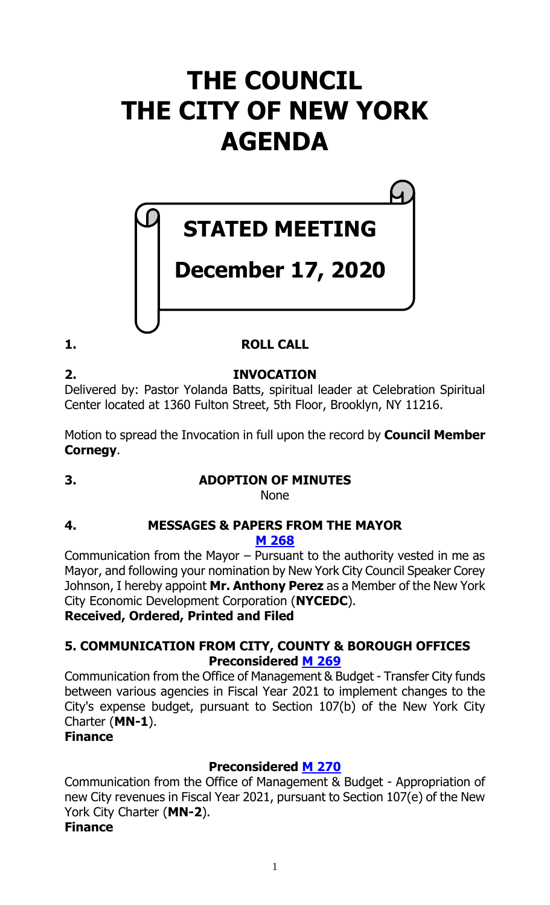# **THE COUNCIL THE CITY OF NEW YORK AGENDA**

# **STATED MEETING**

# **December 17, 2020**

# **1. ROLL CALL**

**2. INVOCATION**

Delivered by: Pastor Yolanda Batts, spiritual leader at Celebration Spiritual Center located at 1360 Fulton Street, 5th Floor, Brooklyn, NY 11216.

Motion to spread the Invocation in full upon the record by **Council Member Cornegy**.

# **3. ADOPTION OF MINUTES**

None

# **4. MESSAGES & PAPERS FROM THE MAYOR**

**M [268](https://legistar.council.nyc.gov/LegislationDetail.aspx?ID=4735644&GUID=4D64FE00-3230-48C8-9495-539C368FAFB0&Options=ID|Text|&Search=)**

Communication from the Mayor – Pursuant to the authority vested in me as Mayor, and following your nomination by New York City Council Speaker Corey Johnson, I hereby appoint **Mr. Anthony Perez** as a Member of the New York City Economic Development Corporation (**NYCEDC**). **Received, Ordered, Printed and Filed**

# **5. COMMUNICATION FROM CITY, COUNTY & BOROUGH OFFICES Preconsidered M [269](https://legistar.council.nyc.gov/LegislationDetail.aspx?ID=4734953&GUID=1098C6FC-DA5B-4A5E-AF0C-69913F3C0AFA&Options=ID|Text|&Search=)**

Communication from the Office of Management & Budget - Transfer City funds between various agencies in Fiscal Year 2021 to implement changes to the City's expense budget, pursuant to Section 107(b) of the New York City Charter (**MN-1**).

# **Finance**

# **Preconsidered M [270](https://legistar.council.nyc.gov/LegislationDetail.aspx?ID=4734954&GUID=9B9711AD-F9A4-4ACF-B765-4D3F5E2598C0&Options=ID|Text|&Search=)**

Communication from the Office of Management & Budget - Appropriation of new City revenues in Fiscal Year 2021, pursuant to Section 107(e) of the New York City Charter (**MN-2**).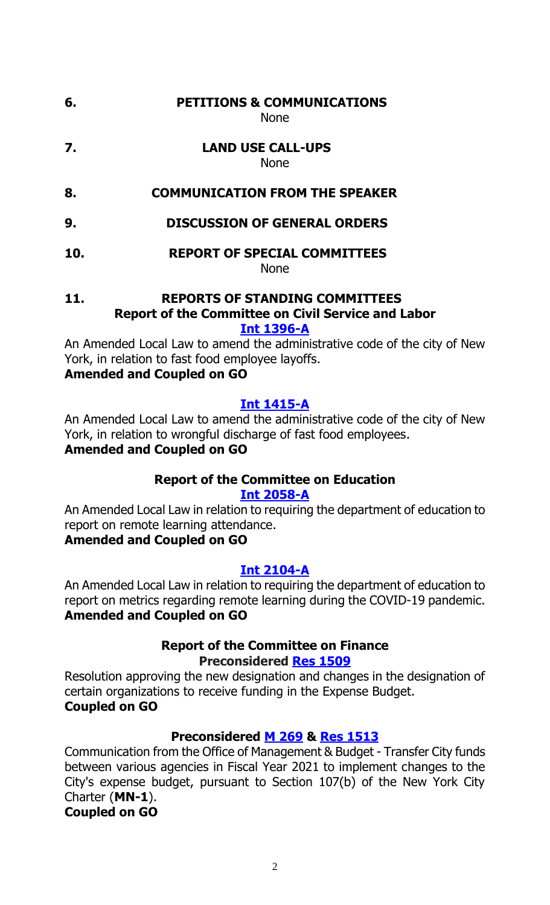# **6. PETITIONS & COMMUNICATIONS**

None

- **7. LAND USE CALL-UPS** None
- **8. COMMUNICATION FROM THE SPEAKER**
- **9. DISCUSSION OF GENERAL ORDERS**
- **10. REPORT OF SPECIAL COMMITTEES** None

#### **11. REPORTS OF STANDING COMMITTEES Report of the Committee on Civil Service and Labor [Int 1396-A](https://legistar.council.nyc.gov/LegislationDetail.aspx?ID=3860321&GUID=76C5427B-7B33-4E55-AA73-37345B8ABEEF&Options=&Search=)**

An Amended Local Law to amend the administrative code of the city of New York, in relation to fast food employee layoffs.

# **Amended and Coupled on GO**

# **[Int 1415-A](https://legistar.council.nyc.gov/LegislationDetail.aspx?ID=3860317&GUID=F97F44AA-CCC8-470B-998E-C3C35A5C0717&Options=&Search=)**

An Amended Local Law to amend the administrative code of the city of New York, in relation to wrongful discharge of fast food employees.

# **Amended and Coupled on GO**

# **Report of the Committee on Education [Int 2058-A](https://legistar.council.nyc.gov/LegislationDetail.aspx?ID=4624883&GUID=69F6CEA9-90FA-499D-A163-D4A44C9CCEF0&Options=&Search=)**

An Amended Local Law in relation to requiring the department of education to report on remote learning attendance.

# **Amended and Coupled on GO**

# **[Int 2104-A](https://legistar.council.nyc.gov/LegislationDetail.aspx?ID=4648616&GUID=5D496772-4A1C-41FC-A5BB-ACB3B75C79B8&Options=&Search=)**

An Amended Local Law in relation to requiring the department of education to report on metrics regarding remote learning during the COVID-19 pandemic. **Amended and Coupled on GO**

# **Report of the Committee on Finance Preconsidered [Res 1509](https://legistar.council.nyc.gov/LegislationDetail.aspx?ID=4734781&GUID=6A24740F-A35B-4D0E-914A-6F5A15A438B7&Options=ID|Text|&Search=)**

Resolution approving the new designation and changes in the designation of certain organizations to receive funding in the Expense Budget. **Coupled on GO**

# **Preconsidered M [269](https://legistar.council.nyc.gov/LegislationDetail.aspx?ID=4734953&GUID=1098C6FC-DA5B-4A5E-AF0C-69913F3C0AFA&Options=ID|Text|&Search=) & Res [1513](https://legistar.council.nyc.gov/LegislationDetail.aspx?ID=4735647&GUID=D8EE7244-56C7-4A44-ADD8-1C7AE2DF1DBF&Options=ID|Text|&Search=)**

Communication from the Office of Management & Budget - Transfer City funds between various agencies in Fiscal Year 2021 to implement changes to the City's expense budget, pursuant to Section 107(b) of the New York City Charter (**MN-1**).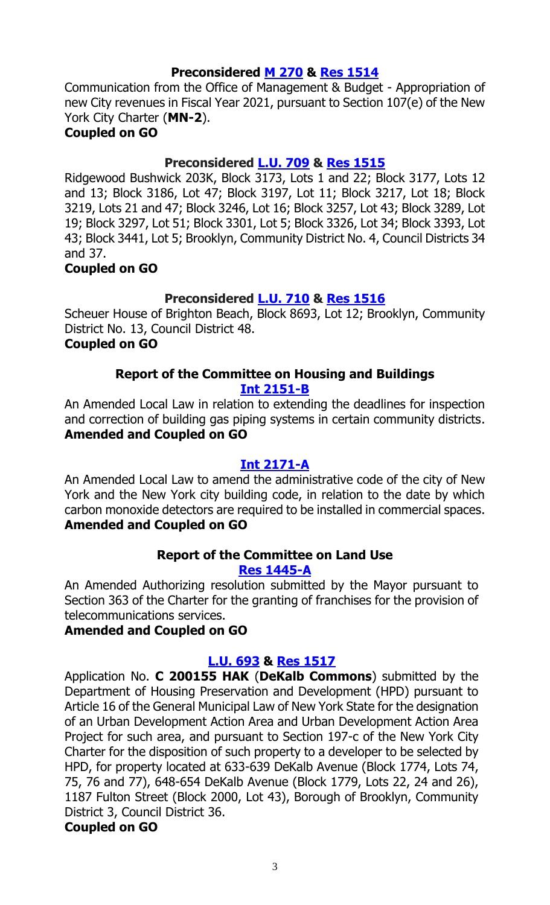#### **Preconsidered M [270](https://legistar.council.nyc.gov/LegislationDetail.aspx?ID=4734954&GUID=9B9711AD-F9A4-4ACF-B765-4D3F5E2598C0&Options=ID|Text|&Search=) & Res [1514](https://legistar.council.nyc.gov/LegislationDetail.aspx?ID=4735648&GUID=8655FAE3-D18D-44E5-9221-D954B14EBA93&Options=ID|Text|&Search=)**

Communication from the Office of Management & Budget - Appropriation of new City revenues in Fiscal Year 2021, pursuant to Section 107(e) of the New York City Charter (**MN-2**).

# **Coupled on GO**

# **Preconsidered [L.U.](https://legistar.council.nyc.gov/LegislationDetail.aspx?ID=4734782&GUID=2B65A1E1-DFFF-4614-BE27-15BA3F5FCD76&Options=ID|Text|&Search=) 709 & Res [1515](https://legistar.council.nyc.gov/LegislationDetail.aspx?ID=4735645&GUID=449A69F1-FFCE-4CAE-B457-347FF84A6DF0&Options=ID|Text|&Search=)**

Ridgewood Bushwick 203K, Block 3173, Lots 1 and 22; Block 3177, Lots 12 and 13; Block 3186, Lot 47; Block 3197, Lot 11; Block 3217, Lot 18; Block 3219, Lots 21 and 47; Block 3246, Lot 16; Block 3257, Lot 43; Block 3289, Lot 19; Block 3297, Lot 51; Block 3301, Lot 5; Block 3326, Lot 34; Block 3393, Lot 43; Block 3441, Lot 5; Brooklyn, Community District No. 4, Council Districts 34 and 37.

#### **Coupled on GO**

# **Preconsidered [L.U.](https://legistar.council.nyc.gov/LegislationDetail.aspx?ID=4734792&GUID=93CEA46A-B8DF-40FE-889D-3984E333664E&Options=ID|Text|&Search=) 710 & Res [1516](https://legistar.council.nyc.gov/LegislationDetail.aspx?ID=4735646&GUID=42C2CEA4-8BEE-4A6F-ACF4-2D75F87BD27D&Options=ID|Text|&Search=)**

Scheuer House of Brighton Beach, Block 8693, Lot 12; Brooklyn, Community District No. 13, Council District 48.

### **Coupled on GO**

#### **Report of the Committee on Housing and Buildings [Int 2151-B](https://legistar.council.nyc.gov/LegislationDetail.aspx?ID=4699474&GUID=E1511C69-A093-4668-9539-6F72616D9901&Options=&Search=)**

An Amended Local Law in relation to extending the deadlines for inspection and correction of building gas piping systems in certain community districts. **Amended and Coupled on GO**

#### **[Int 2171-A](https://legistar.council.nyc.gov/LegislationDetail.aspx?ID=4706874&GUID=8E228374-9944-44E0-A849-897B353BFC48&Options=&Search=)**

An Amended Local Law to amend the administrative code of the city of New York and the New York city building code, in relation to the date by which carbon monoxide detectors are required to be installed in commercial spaces. **Amended and Coupled on GO**

# **Report of the Committee on Land Use**

# **Res [1445-A](https://legistar.council.nyc.gov/LegislationDetail.aspx?ID=4658697&GUID=1B1FC91C-7AF8-4D79-8E6D-BF665CA0B6E3&Options=&Search=)**

An Amended Authorizing resolution submitted by the Mayor pursuant to Section 363 of the Charter for the granting of franchises for the provision of telecommunications services.

#### **Amended and Coupled on GO**

# **[L.U.](https://legistar.council.nyc.gov/LegislationDetail.aspx?ID=4697123&GUID=F799028D-7200-4A6D-B498-914821B2A6D2&Options=&Search=) 693 & Res [1517](https://legistar.council.nyc.gov/LegislationDetail.aspx?ID=4735260&GUID=7E1C25C1-8A84-4E2E-8722-843C67CF9CCF&Options=ID|Text|&Search=)**

Application No. **C 200155 HAK** (**DeKalb Commons**) submitted by the Department of Housing Preservation and Development (HPD) pursuant to Article 16 of the General Municipal Law of New York State for the designation of an Urban Development Action Area and Urban Development Action Area Project for such area, and pursuant to Section 197-c of the New York City Charter for the disposition of such property to a developer to be selected by HPD, for property located at 633-639 DeKalb Avenue (Block 1774, Lots 74, 75, 76 and 77), 648-654 DeKalb Avenue (Block 1779, Lots 22, 24 and 26), 1187 Fulton Street (Block 2000, Lot 43), Borough of Brooklyn, Community District 3, Council District 36.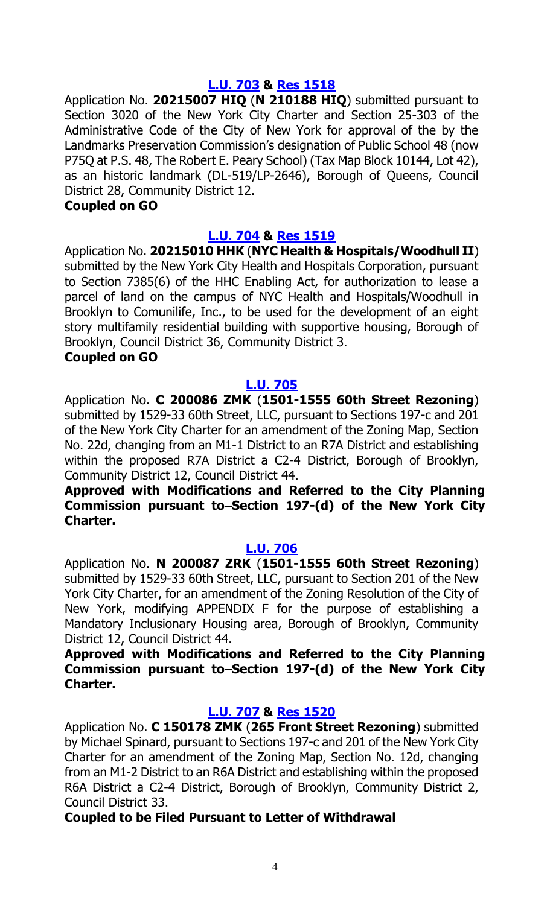#### **[L.U.](https://legistar.council.nyc.gov/LegislationDetail.aspx?ID=4707465&GUID=6DA09362-C486-4A56-A854-74495329F977&Options=&Search=) 703 & Res [1518](https://legistar.council.nyc.gov/LegislationDetail.aspx?ID=4735261&GUID=F6B7ADF3-0494-49B1-96BA-9A75A53559F5&Options=ID|Text|&Search=)**

Application No. **20215007 HIQ** (**N 210188 HIQ**) submitted pursuant to Section 3020 of the New York City Charter and Section 25-303 of the Administrative Code of the City of New York for approval of the by the Landmarks Preservation Commission's designation of Public School 48 (now P75Q at P.S. 48, The Robert E. Peary School) (Tax Map Block 10144, Lot 42), as an historic landmark (DL-519/LP-2646), Borough of Queens, Council District 28, Community District 12.

#### **Coupled on GO**

#### **[L.U.](https://legistar.council.nyc.gov/LegislationDetail.aspx?ID=4707466&GUID=FA59A393-F4E4-4992-8B50-9A1311D19338&Options=&Search=) 704 & Res [1519](https://legistar.council.nyc.gov/LegislationDetail.aspx?ID=4735262&GUID=97143AAB-D5B9-438A-8F3A-BFACCBE731F6&Options=ID|Text|&Search=)**

Application No. **20215010 HHK** (**NYC Health & Hospitals/Woodhull II**) submitted by the New York City Health and Hospitals Corporation, pursuant to Section 7385(6) of the HHC Enabling Act, for authorization to lease a parcel of land on the campus of NYC Health and Hospitals/Woodhull in Brooklyn to Comunilife, Inc., to be used for the development of an eight story multifamily residential building with supportive housing, Borough of Brooklyn, Council District 36, Community District 3.

#### **Coupled on GO**

#### **[L.U.](https://legistar.council.nyc.gov/LegislationDetail.aspx?ID=4707467&GUID=6C7FB9DC-E50E-4309-82AA-7E4CE2351D4C&Options=&Search=) 705**

Application No. **C 200086 ZMK** (**1501-1555 60th Street Rezoning**) submitted by 1529-33 60th Street, LLC, pursuant to Sections 197-c and 201 of the New York City Charter for an amendment of the Zoning Map, Section No. 22d, changing from an M1-1 District to an R7A District and establishing within the proposed R7A District a C2-4 District, Borough of Brooklyn, Community District 12, Council District 44.

#### **Approved with Modifications and Referred to the City Planning Commission pursuant to Section 197-(d) of the New York City Charter.**

#### **[L.U.](https://legistar.council.nyc.gov/LegislationDetail.aspx?ID=4707476&GUID=58408616-C22D-4B82-B8D7-654882EAA5D1&Options=&Search=) 706**

Application No. **N 200087 ZRK** (**1501-1555 60th Street Rezoning**) submitted by 1529-33 60th Street, LLC, pursuant to Section 201 of the New York City Charter, for an amendment of the Zoning Resolution of the City of New York, modifying APPENDIX F for the purpose of establishing a Mandatory Inclusionary Housing area, Borough of Brooklyn, Community District 12, Council District 44.

**Approved with Modifications and Referred to the City Planning Commission pursuant to Section 197-(d) of the New York City Charter.**

#### **[L.U. 707](https://legistar.council.nyc.gov/LegislationDetail.aspx?ID=4707477&GUID=EDB49D78-CF8B-40CA-8D09-02D8146C9655&Options=&Search=) & Res [1520](https://legistar.council.nyc.gov/LegislationDetail.aspx?ID=4735265&GUID=0FC047DA-7248-45D4-A53B-0452289B29DA&Options=ID|Text|&Search=)**

Application No. **C 150178 ZMK** (**265 Front Street Rezoning**) submitted by Michael Spinard, pursuant to Sections 197-c and 201 of the New York City Charter for an amendment of the Zoning Map, Section No. 12d, changing from an M1-2 District to an R6A District and establishing within the proposed R6A District a C2-4 District, Borough of Brooklyn, Community District 2, Council District 33.

**Coupled to be Filed Pursuant to Letter of Withdrawal**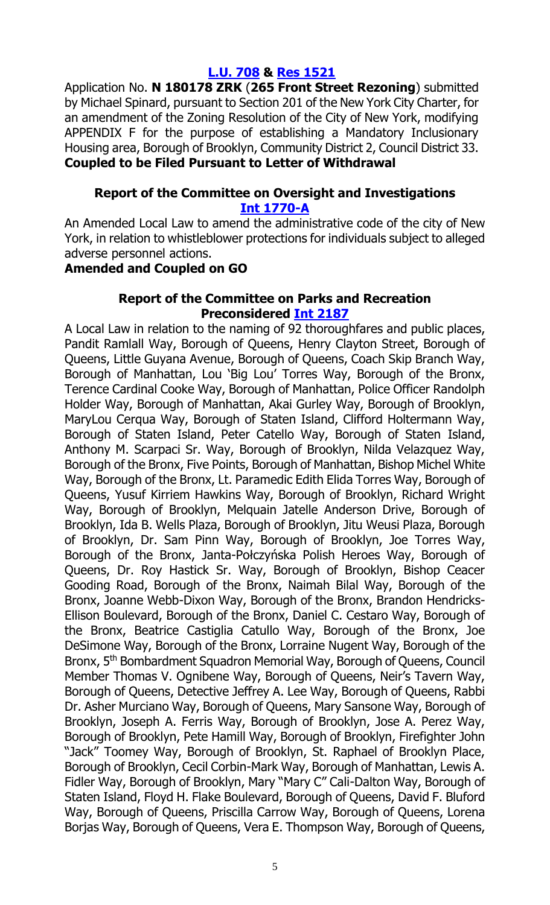# **[L.U.](https://legistar.council.nyc.gov/LegislationDetail.aspx?ID=4707543&GUID=AE2033D6-D73C-4B6B-9424-30CE4D54FEE1&Options=&Search=) 708 & Res [1521](https://legistar.council.nyc.gov/LegislationDetail.aspx?ID=4735266&GUID=265A0743-DDCA-4097-87EA-790B4B66F3E4&Options=ID|Text|&Search=)**

Application No. **N 180178 ZRK** (**265 Front Street Rezoning**) submitted by Michael Spinard, pursuant to Section 201 of the New York City Charter, for an amendment of the Zoning Resolution of the City of New York, modifying APPENDIX F for the purpose of establishing a Mandatory Inclusionary Housing area, Borough of Brooklyn, Community District 2, Council District 33. **Coupled to be Filed Pursuant to Letter of Withdrawal**

#### **Report of the Committee on Oversight and Investigations [Int 1770-A](https://legistar.council.nyc.gov/LegislationDetail.aspx?ID=4196294&GUID=76C69B50-32AF-4089-9D53-3B731116DFA6&Options=&Search=)**

An Amended Local Law to amend the administrative code of the city of New York, in relation to whistleblower protections for individuals subject to alleged adverse personnel actions.

#### **Amended and Coupled on GO**

#### **Report of the Committee on Parks and Recreation Preconsidered Int [2187](https://legistar.council.nyc.gov/LegislationDetail.aspx?ID=4734370&GUID=26BA0E27-8A2A-41E5-BD41-F8BB3CB8384B&Options=ID|Text|&Search=)**

A Local Law in relation to the naming of 92 thoroughfares and public places, Pandit Ramlall Way, Borough of Queens, Henry Clayton Street, Borough of Queens, Little Guyana Avenue, Borough of Queens, Coach Skip Branch Way, Borough of Manhattan, Lou 'Big Lou' Torres Way, Borough of the Bronx, Terence Cardinal Cooke Way, Borough of Manhattan, Police Officer Randolph Holder Way, Borough of Manhattan, Akai Gurley Way, Borough of Brooklyn, MaryLou Cerqua Way, Borough of Staten Island, Clifford Holtermann Way, Borough of Staten Island, Peter Catello Way, Borough of Staten Island, Anthony M. Scarpaci Sr. Way, Borough of Brooklyn, Nilda Velazquez Way, Borough of the Bronx, Five Points, Borough of Manhattan, Bishop Michel White Way, Borough of the Bronx, Lt. Paramedic Edith Elida Torres Way, Borough of Queens, Yusuf Kirriem Hawkins Way, Borough of Brooklyn, Richard Wright Way, Borough of Brooklyn, Melquain Jatelle Anderson Drive, Borough of Brooklyn, Ida B. Wells Plaza, Borough of Brooklyn, Jitu Weusi Plaza, Borough of Brooklyn, Dr. Sam Pinn Way, Borough of Brooklyn, Joe Torres Way, Borough of the Bronx, Janta-Połczyńska Polish Heroes Way, Borough of Queens, Dr. Roy Hastick Sr. Way, Borough of Brooklyn, Bishop Ceacer Gooding Road, Borough of the Bronx, Naimah Bilal Way, Borough of the Bronx, Joanne Webb-Dixon Way, Borough of the Bronx, Brandon Hendricks-Ellison Boulevard, Borough of the Bronx, Daniel C. Cestaro Way, Borough of the Bronx, Beatrice Castiglia Catullo Way, Borough of the Bronx, Joe DeSimone Way, Borough of the Bronx, Lorraine Nugent Way, Borough of the Bronx, 5<sup>th</sup> Bombardment Squadron Memorial Way, Borough of Queens, Council Member Thomas V. Ognibene Way, Borough of Queens, Neir's Tavern Way, Borough of Queens, Detective Jeffrey A. Lee Way, Borough of Queens, Rabbi Dr. Asher Murciano Way, Borough of Queens, Mary Sansone Way, Borough of Brooklyn, Joseph A. Ferris Way, Borough of Brooklyn, Jose A. Perez Way, Borough of Brooklyn, Pete Hamill Way, Borough of Brooklyn, Firefighter John "Jack" Toomey Way, Borough of Brooklyn, St. Raphael of Brooklyn Place, Borough of Brooklyn, Cecil Corbin-Mark Way, Borough of Manhattan, Lewis A. Fidler Way, Borough of Brooklyn, Mary "Mary C" Cali-Dalton Way, Borough of Staten Island, Floyd H. Flake Boulevard, Borough of Queens, David F. Bluford Way, Borough of Queens, Priscilla Carrow Way, Borough of Queens, Lorena Borjas Way, Borough of Queens, Vera E. Thompson Way, Borough of Queens,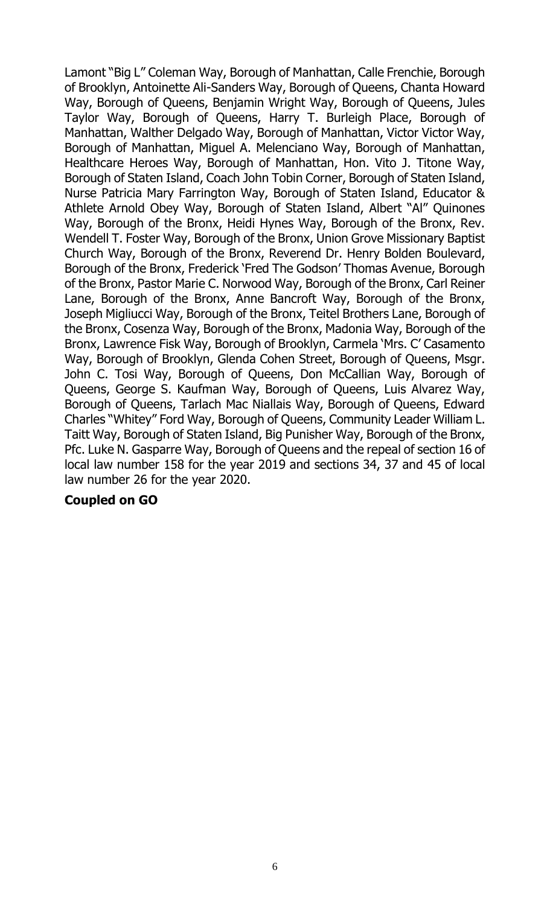Lamont "Big L" Coleman Way, Borough of Manhattan, Calle Frenchie, Borough of Brooklyn, Antoinette Ali-Sanders Way, Borough of Queens, Chanta Howard Way, Borough of Queens, Benjamin Wright Way, Borough of Queens, Jules Taylor Way, Borough of Queens, Harry T. Burleigh Place, Borough of Manhattan, Walther Delgado Way, Borough of Manhattan, Victor Victor Way, Borough of Manhattan, Miguel A. Melenciano Way, Borough of Manhattan, Healthcare Heroes Way, Borough of Manhattan, Hon. Vito J. Titone Way, Borough of Staten Island, Coach John Tobin Corner, Borough of Staten Island, Nurse Patricia Mary Farrington Way, Borough of Staten Island, Educator & Athlete Arnold Obey Way, Borough of Staten Island, Albert "Al" Quinones Way, Borough of the Bronx, Heidi Hynes Way, Borough of the Bronx, Rev. Wendell T. Foster Way, Borough of the Bronx, Union Grove Missionary Baptist Church Way, Borough of the Bronx, Reverend Dr. Henry Bolden Boulevard, Borough of the Bronx, Frederick 'Fred The Godson' Thomas Avenue, Borough of the Bronx, Pastor Marie C. Norwood Way, Borough of the Bronx, Carl Reiner Lane, Borough of the Bronx, Anne Bancroft Way, Borough of the Bronx, Joseph Migliucci Way, Borough of the Bronx, Teitel Brothers Lane, Borough of the Bronx, Cosenza Way, Borough of the Bronx, Madonia Way, Borough of the Bronx, Lawrence Fisk Way, Borough of Brooklyn, Carmela 'Mrs. C' Casamento Way, Borough of Brooklyn, Glenda Cohen Street, Borough of Queens, Msgr. John C. Tosi Way, Borough of Queens, Don McCallian Way, Borough of Queens, George S. Kaufman Way, Borough of Queens, Luis Alvarez Way, Borough of Queens, Tarlach Mac Niallais Way, Borough of Queens, Edward Charles "Whitey" Ford Way, Borough of Queens, Community Leader William L. Taitt Way, Borough of Staten Island, Big Punisher Way, Borough of the Bronx, Pfc. Luke N. Gasparre Way, Borough of Queens and the repeal of section 16 of local law number 158 for the year 2019 and sections 34, 37 and 45 of local law number 26 for the year 2020.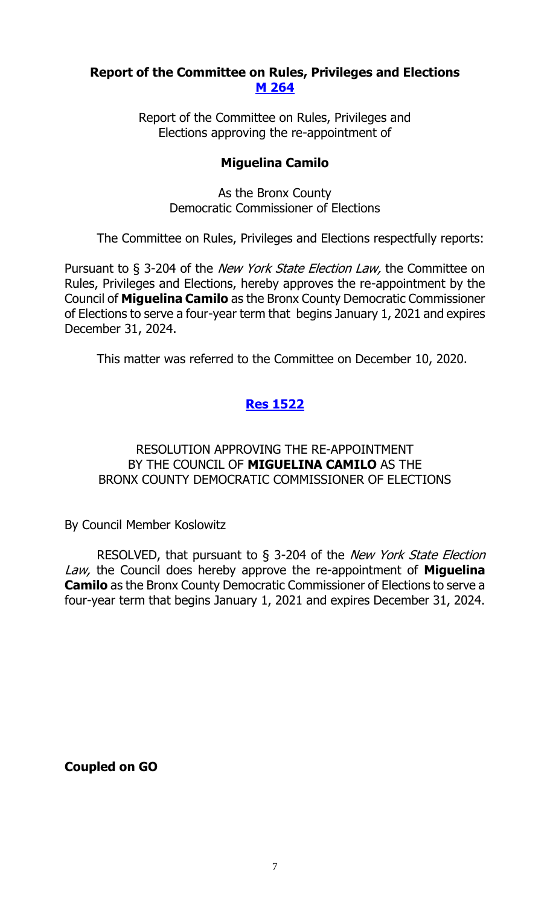# **Report of the Committee on Rules, Privileges and Elections [M 264](https://legistar.council.nyc.gov/LegislationDetail.aspx?ID=4710855&GUID=FF265F57-3786-4F6D-B64D-340F16042DA1&Options=&Search=)**

Report of the Committee on Rules, Privileges and Elections approving the re-appointment of

# **Miguelina Camilo**

As the Bronx County Democratic Commissioner of Elections

The Committee on Rules, Privileges and Elections respectfully reports:

Pursuant to § 3-204 of the *New York State Election Law*, the Committee on Rules, Privileges and Elections, hereby approves the re-appointment by the Council of **Miguelina Camilo** as the Bronx County Democratic Commissioner of Elections to serve a four-year term that begins January 1, 2021 and expires December 31, 2024.

This matter was referred to the Committee on December 10, 2020.

# **Res [1522](https://legistar.council.nyc.gov/LegislationDetail.aspx?ID=4735654&GUID=3B118237-BA4E-41DE-9C42-7201D6F84C1D&Options=ID|Text|&Search=)**

### RESOLUTION APPROVING THE RE-APPOINTMENT BY THE COUNCIL OF **MIGUELINA CAMILO** AS THE BRONX COUNTY DEMOCRATIC COMMISSIONER OF ELECTIONS

By Council Member Koslowitz

RESOLVED, that pursuant to § 3-204 of the New York State Election Law, the Council does hereby approve the re-appointment of **Miguelina Camilo** as the Bronx County Democratic Commissioner of Elections to serve a four-year term that begins January 1, 2021 and expires December 31, 2024.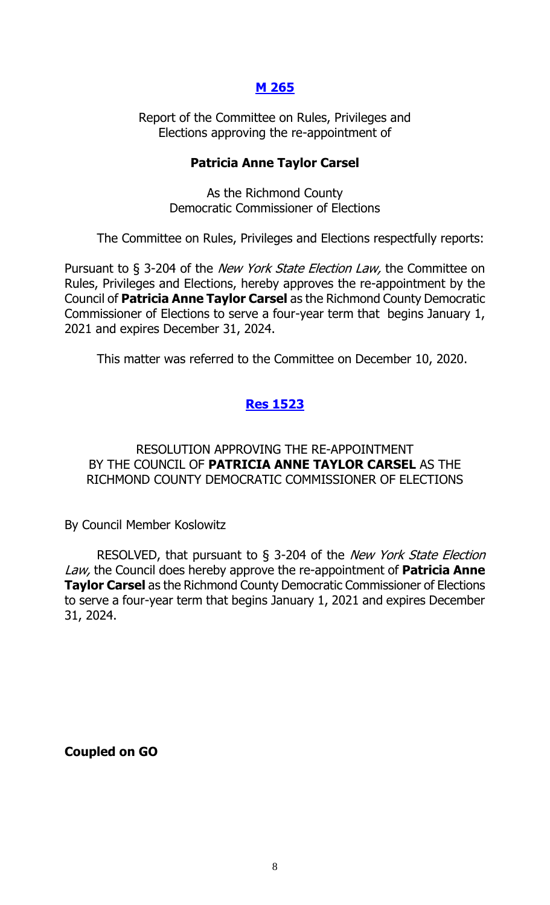### **[M 265](https://legistar.council.nyc.gov/LegislationDetail.aspx?ID=4710856&GUID=7823523D-162F-47B1-A905-46450FC7031A&Options=&Search=)**

Report of the Committee on Rules, Privileges and Elections approving the re-appointment of

#### **Patricia Anne Taylor Carsel**

As the Richmond County Democratic Commissioner of Elections

The Committee on Rules, Privileges and Elections respectfully reports:

Pursuant to § 3-204 of the *New York State Election Law*, the Committee on Rules, Privileges and Elections, hereby approves the re-appointment by the Council of **Patricia Anne Taylor Carsel** as the Richmond County Democratic Commissioner of Elections to serve a four-year term that begins January 1, 2021 and expires December 31, 2024.

This matter was referred to the Committee on December 10, 2020.

# **Res [1523](https://legistar.council.nyc.gov/LegislationDetail.aspx?ID=4735655&GUID=D639474C-0820-49BB-87A0-D60AF85849C5&Options=ID|Text|&Search=)**

#### RESOLUTION APPROVING THE RE-APPOINTMENT BY THE COUNCIL OF **PATRICIA ANNE TAYLOR CARSEL** AS THE RICHMOND COUNTY DEMOCRATIC COMMISSIONER OF ELECTIONS

By Council Member Koslowitz

RESOLVED, that pursuant to § 3-204 of the New York State Election Law, the Council does hereby approve the re-appointment of **Patricia Anne Taylor Carsel** as the Richmond County Democratic Commissioner of Elections to serve a four-year term that begins January 1, 2021 and expires December 31, 2024.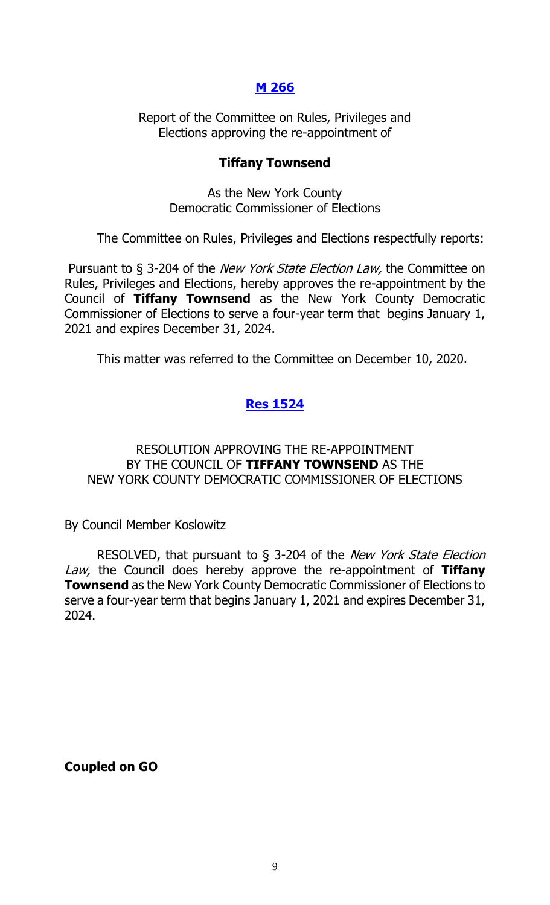# **[M 266](https://legistar.council.nyc.gov/LegislationDetail.aspx?ID=4710857&GUID=278574DD-AE58-4F7A-BCAE-0D3DF35689F6&Options=&Search=)**

Report of the Committee on Rules, Privileges and Elections approving the re-appointment of

#### **Tiffany Townsend**

As the New York County Democratic Commissioner of Elections

The Committee on Rules, Privileges and Elections respectfully reports:

Pursuant to § 3-204 of the *New York State Election Law*, the Committee on Rules, Privileges and Elections, hereby approves the re-appointment by the Council of **Tiffany Townsend** as the New York County Democratic Commissioner of Elections to serve a four-year term that begins January 1, 2021 and expires December 31, 2024.

This matter was referred to the Committee on December 10, 2020.

# **Res [1524](https://legistar.council.nyc.gov/LegislationDetail.aspx?ID=4735656&GUID=AC2B3FF1-D367-434A-A5CA-1EBA90E223F1&Options=ID|Text|&Search=)**

#### RESOLUTION APPROVING THE RE-APPOINTMENT BY THE COUNCIL OF **TIFFANY TOWNSEND** AS THE NEW YORK COUNTY DEMOCRATIC COMMISSIONER OF ELECTIONS

By Council Member Koslowitz

RESOLVED, that pursuant to § 3-204 of the New York State Election Law, the Council does hereby approve the re-appointment of **Tiffany Townsend** as the New York County Democratic Commissioner of Elections to serve a four-year term that begins January 1, 2021 and expires December 31, 2024.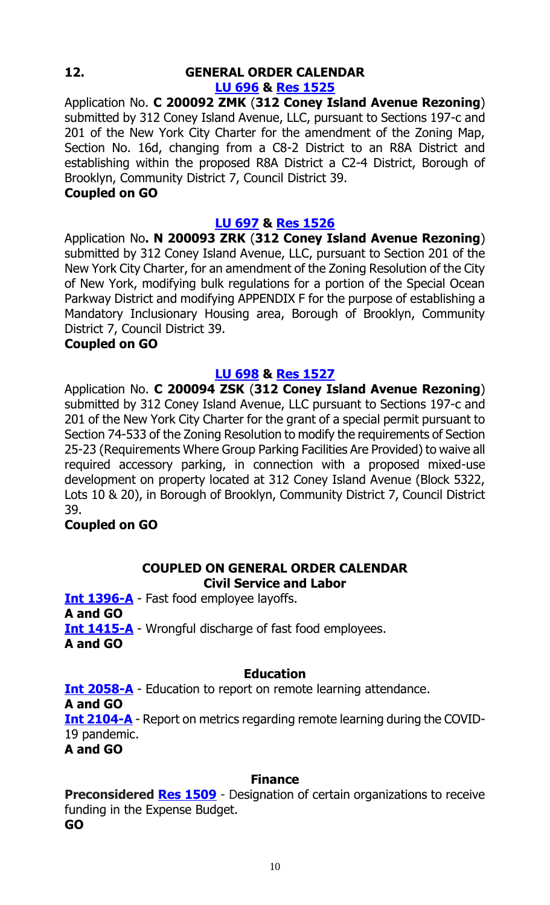#### **12. GENERAL ORDER CALENDAR [LU 696](https://legistar.council.nyc.gov/LegislationDetail.aspx?ID=4697127&GUID=38BC64F1-EB4B-40E6-8B7C-DC3430B03C14&Options=&Search=) & Res [1525](https://legistar.council.nyc.gov/LegislationDetail.aspx?ID=4726982&GUID=47C0EF00-8447-4819-BDD5-79A6CABEC753&Options=ID|Text|&Search=)**

Application No. **C 200092 ZMK** (**312 Coney Island Avenue Rezoning**) submitted by 312 Coney Island Avenue, LLC, pursuant to Sections 197-c and 201 of the New York City Charter for the amendment of the Zoning Map, Section No. 16d, changing from a C8-2 District to an R8A District and establishing within the proposed R8A District a C2-4 District, Borough of Brooklyn, Community District 7, Council District 39.

#### **Coupled on GO**

# **[LU 697](https://legistar.council.nyc.gov/LegislationDetail.aspx?ID=4697128&GUID=0EBA3D95-E1E7-4188-90F4-1FD2DC22FCCA&Options=&Search=) & Res [1526](https://legistar.council.nyc.gov/LegislationDetail.aspx?ID=4726983&GUID=B94734A3-21B7-422D-9A98-64608DC21348&Options=ID|Text|&Search=)**

Application No**. N 200093 ZRK** (**312 Coney Island Avenue Rezoning**) submitted by 312 Coney Island Avenue, LLC, pursuant to Section 201 of the New York City Charter, for an amendment of the Zoning Resolution of the City of New York, modifying bulk regulations for a portion of the Special Ocean Parkway District and modifying APPENDIX F for the purpose of establishing a Mandatory Inclusionary Housing area, Borough of Brooklyn, Community District 7, Council District 39.

# **Coupled on GO**

# **[LU 698](https://legistar.council.nyc.gov/LegislationDetail.aspx?ID=4699458&GUID=E992893A-3069-451C-B074-A7A226826833&Options=&Search=) & Res [1527](https://legistar.council.nyc.gov/LegislationDetail.aspx?ID=4726984&GUID=FDB178F9-EFFA-40D1-9506-7BA4972C5A5B&Options=ID|Text|&Search=)**

Application No. **C 200094 ZSK** (**312 Coney Island Avenue Rezoning**) submitted by 312 Coney Island Avenue, LLC pursuant to Sections 197-c and 201 of the New York City Charter for the grant of a special permit pursuant to Section 74-533 of the Zoning Resolution to modify the requirements of Section 25-23 (Requirements Where Group Parking Facilities Are Provided) to waive all required accessory parking, in connection with a proposed mixed-use development on property located at 312 Coney Island Avenue (Block 5322, Lots 10 & 20), in Borough of Brooklyn, Community District 7, Council District 39.

# **Coupled on GO**

# **COUPLED ON GENERAL ORDER CALENDAR**

**Civil Service and Labor**

**[Int 1396-A](https://legistar.council.nyc.gov/LegislationDetail.aspx?ID=3860321&GUID=76C5427B-7B33-4E55-AA73-37345B8ABEEF&Options=&Search=)** - Fast food employee layoffs. **A and GO [Int 1415-A](https://legistar.council.nyc.gov/LegislationDetail.aspx?ID=3860317&GUID=F97F44AA-CCC8-470B-998E-C3C35A5C0717&Options=&Search=)** - Wrongful discharge of fast food employees. **A and GO**

#### **Education**

**[Int 2058-A](https://legistar.council.nyc.gov/LegislationDetail.aspx?ID=4624883&GUID=69F6CEA9-90FA-499D-A163-D4A44C9CCEF0&Options=&Search=)** - Education to report on remote learning attendance. **A and GO [Int 2104-A](https://legistar.council.nyc.gov/LegislationDetail.aspx?ID=4648616&GUID=5D496772-4A1C-41FC-A5BB-ACB3B75C79B8&Options=&Search=)** - Report on metrics regarding remote learning during the COVID-19 pandemic. **A and GO**

#### **Finance**

**Preconsidered [Res 1509](https://legistar.council.nyc.gov/LegislationDetail.aspx?ID=4734781&GUID=6A24740F-A35B-4D0E-914A-6F5A15A438B7&Options=ID|Text|&Search=)** - Designation of certain organizations to receive funding in the Expense Budget. **GO**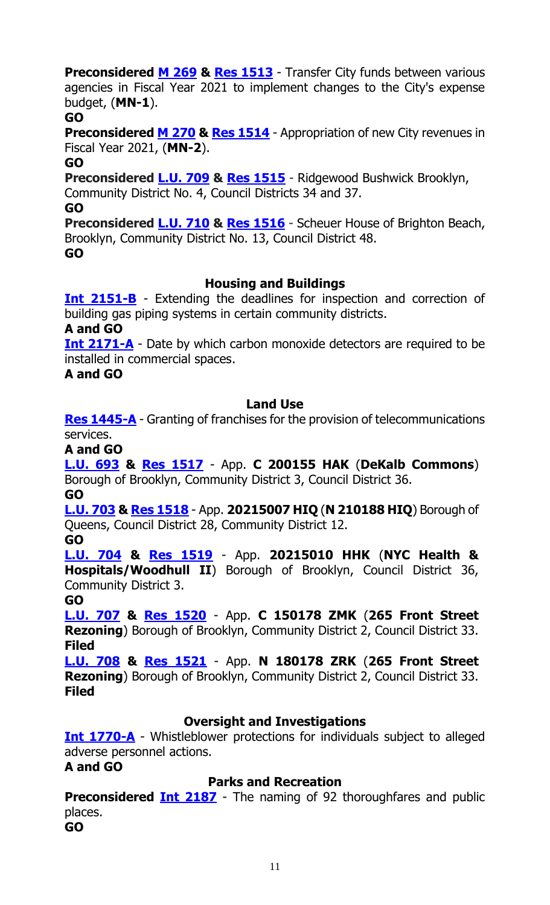**Preconsidered M [269](https://legistar.council.nyc.gov/LegislationDetail.aspx?ID=4734953&GUID=1098C6FC-DA5B-4A5E-AF0C-69913F3C0AFA&Options=ID|Text|&Search=) & Res [1513](https://legistar.council.nyc.gov/LegislationDetail.aspx?ID=4735647&GUID=D8EE7244-56C7-4A44-ADD8-1C7AE2DF1DBF&Options=ID|Text|&Search=)** - Transfer City funds between various agencies in Fiscal Year 2021 to implement changes to the City's expense budget, (**MN-1**).

**GO**

**Preconsidered M [270](https://legistar.council.nyc.gov/LegislationDetail.aspx?ID=4734954&GUID=9B9711AD-F9A4-4ACF-B765-4D3F5E2598C0&Options=ID|Text|&Search=) & Res [1514](https://legistar.council.nyc.gov/LegislationDetail.aspx?ID=4735648&GUID=8655FAE3-D18D-44E5-9221-D954B14EBA93&Options=ID|Text|&Search=)** - Appropriation of new City revenues in Fiscal Year 2021, (**MN-2**).

**GO**

**Preconsidered [L.U.](https://legistar.council.nyc.gov/LegislationDetail.aspx?ID=4734782&GUID=2B65A1E1-DFFF-4614-BE27-15BA3F5FCD76&Options=ID|Text|&Search=) 709 & Res [1515](https://legistar.council.nyc.gov/LegislationDetail.aspx?ID=4735645&GUID=449A69F1-FFCE-4CAE-B457-347FF84A6DF0&Options=ID|Text|&Search=)** - Ridgewood Bushwick Brooklyn, Community District No. 4, Council Districts 34 and 37.

**GO**

**Preconsidered [L.U.](https://legistar.council.nyc.gov/LegislationDetail.aspx?ID=4734792&GUID=93CEA46A-B8DF-40FE-889D-3984E333664E&Options=ID|Text|&Search=) 710 & Res [1516](https://legistar.council.nyc.gov/LegislationDetail.aspx?ID=4735646&GUID=42C2CEA4-8BEE-4A6F-ACF4-2D75F87BD27D&Options=ID|Text|&Search=)** - Scheuer House of Brighton Beach, Brooklyn, Community District No. 13, Council District 48. **GO**

# **Housing and Buildings**

**[Int 2151-B](https://legistar.council.nyc.gov/LegislationDetail.aspx?ID=4699474&GUID=E1511C69-A093-4668-9539-6F72616D9901&Options=&Search=)** - Extending the deadlines for inspection and correction of building gas piping systems in certain community districts.

**A and GO**

**[Int 2171-A](https://legistar.council.nyc.gov/LegislationDetail.aspx?ID=4706874&GUID=8E228374-9944-44E0-A849-897B353BFC48&Options=&Search=)** - Date by which carbon monoxide detectors are required to be installed in commercial spaces.

**A and GO**

# **Land Use**

**[Res 1445-A](https://legistar.council.nyc.gov/LegislationDetail.aspx?ID=4658697&GUID=1B1FC91C-7AF8-4D79-8E6D-BF665CA0B6E3&Options=&Search=)** - Granting of franchises for the provision of telecommunications services.

**A and GO**

**[L.U. 693](https://legistar.council.nyc.gov/LegislationDetail.aspx?ID=4697123&GUID=F799028D-7200-4A6D-B498-914821B2A6D2&Options=&Search=) & [Res 1517](https://legistar.council.nyc.gov/LegislationDetail.aspx?ID=4735260&GUID=7E1C25C1-8A84-4E2E-8722-843C67CF9CCF&Options=ID|Text|&Search=)** - App. **C 200155 HAK** (**DeKalb Commons**) Borough of Brooklyn, Community District 3, Council District 36.

**GO**

**[L.U. 703](https://legistar.council.nyc.gov/LegislationDetail.aspx?ID=4707465&GUID=6DA09362-C486-4A56-A854-74495329F977&Options=&Search=) & [Res 1518](https://legistar.council.nyc.gov/LegislationDetail.aspx?ID=4735261&GUID=F6B7ADF3-0494-49B1-96BA-9A75A53559F5&Options=ID|Text|&Search=)** - App. **20215007 HIQ** (**N 210188 HIQ**) Borough of Queens, Council District 28, Community District 12.

**GO**

**[L.U. 704](https://legistar.council.nyc.gov/LegislationDetail.aspx?ID=4707466&GUID=FA59A393-F4E4-4992-8B50-9A1311D19338&Options=&Search=) & [Res 1519](https://legistar.council.nyc.gov/LegislationDetail.aspx?ID=4735262&GUID=97143AAB-D5B9-438A-8F3A-BFACCBE731F6&Options=ID|Text|&Search=)** - App. **20215010 HHK** (**NYC Health & Hospitals/Woodhull II**) Borough of Brooklyn, Council District 36, Community District 3.

**GO**

**[L.U. 707](https://legistar.council.nyc.gov/LegislationDetail.aspx?ID=4707477&GUID=EDB49D78-CF8B-40CA-8D09-02D8146C9655&Options=&Search=) & [Res 1520](https://legistar.council.nyc.gov/LegislationDetail.aspx?ID=4735265&GUID=0FC047DA-7248-45D4-A53B-0452289B29DA&Options=ID|Text|&Search=)** - App. **C 150178 ZMK** (**265 Front Street Rezoning**) Borough of Brooklyn, Community District 2, Council District 33. **Filed**

**[L.U. 708](https://legistar.council.nyc.gov/LegislationDetail.aspx?ID=4707543&GUID=AE2033D6-D73C-4B6B-9424-30CE4D54FEE1&Options=&Search=) & [Res 1521](https://legistar.council.nyc.gov/LegislationDetail.aspx?ID=4735266&GUID=265A0743-DDCA-4097-87EA-790B4B66F3E4&Options=ID|Text|&Search=)** - App. **N 180178 ZRK** (**265 Front Street Rezoning**) Borough of Brooklyn, Community District 2, Council District 33. **Filed**

# **Oversight and Investigations**

**[Int 1770-A](https://legistar.council.nyc.gov/LegislationDetail.aspx?ID=4196294&GUID=76C69B50-32AF-4089-9D53-3B731116DFA6&Options=&Search=)** - Whistleblower protections for individuals subject to alleged adverse personnel actions.

**A and GO**

# **Parks and Recreation**

**Preconsidered Int [2187](https://legistar.council.nyc.gov/LegislationDetail.aspx?ID=4734370&GUID=26BA0E27-8A2A-41E5-BD41-F8BB3CB8384B&Options=ID|Text|&Search=)** - The naming of 92 thoroughfares and public places.

**GO**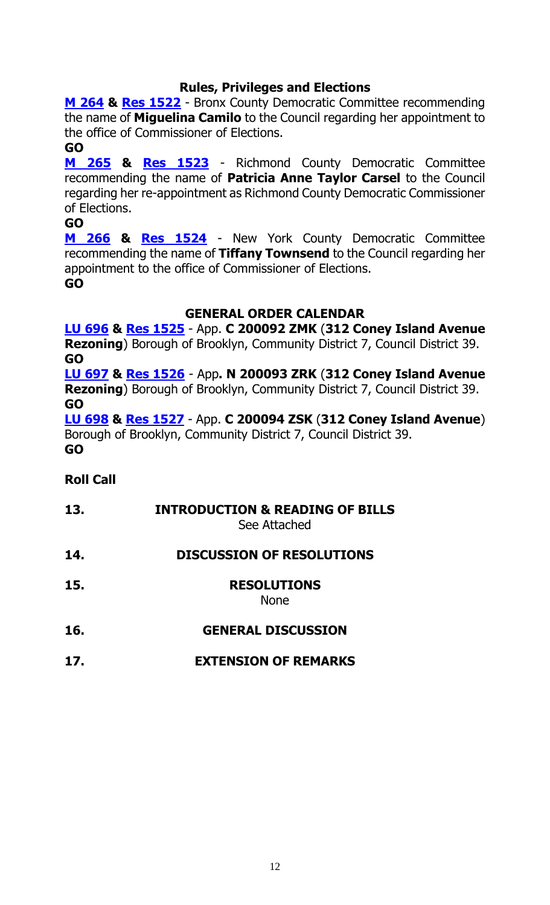# **Rules, Privileges and Elections**

**[M 264](https://legistar.council.nyc.gov/LegislationDetail.aspx?ID=4710855&GUID=FF265F57-3786-4F6D-B64D-340F16042DA1&Options=&Search=) & [Res 1522](https://legistar.council.nyc.gov/LegislationDetail.aspx?ID=4735654&GUID=3B118237-BA4E-41DE-9C42-7201D6F84C1D&Options=ID|Text|&Search=)** - Bronx County Democratic Committee recommending the name of **Miguelina Camilo** to the Council regarding her appointment to the office of Commissioner of Elections.

#### **GO**

**[M 265](https://legistar.council.nyc.gov/LegislationDetail.aspx?ID=4710856&GUID=7823523D-162F-47B1-A905-46450FC7031A&Options=&Search=) & [Res 1523](https://legistar.council.nyc.gov/LegislationDetail.aspx?ID=4735655&GUID=D639474C-0820-49BB-87A0-D60AF85849C5&Options=ID|Text|&Search=)** - Richmond County Democratic Committee recommending the name of **Patricia Anne Taylor Carsel** to the Council regarding her re-appointment as Richmond County Democratic Commissioner of Elections.

#### **GO**

**[M 266](https://legistar.council.nyc.gov/LegislationDetail.aspx?ID=4710857&GUID=278574DD-AE58-4F7A-BCAE-0D3DF35689F6&Options=&Search=) & [Res 1524](https://legistar.council.nyc.gov/LegislationDetail.aspx?ID=4735656&GUID=AC2B3FF1-D367-434A-A5CA-1EBA90E223F1&Options=ID|Text|&Search=)** - New York County Democratic Committee recommending the name of **Tiffany Townsend** to the Council regarding her appointment to the office of Commissioner of Elections. **GO**

#### **GENERAL ORDER CALENDAR**

**[LU 696](https://legistar.council.nyc.gov/LegislationDetail.aspx?ID=4697127&GUID=38BC64F1-EB4B-40E6-8B7C-DC3430B03C14&Options=&Search=) & Res [1525](https://legistar.council.nyc.gov/LegislationDetail.aspx?ID=4726982&GUID=47C0EF00-8447-4819-BDD5-79A6CABEC753&Options=ID|Text|&Search=)** - App. **C 200092 ZMK** (**312 Coney Island Avenue Rezoning**) Borough of Brooklyn, Community District 7, Council District 39. **GO**

**[LU 697](https://legistar.council.nyc.gov/LegislationDetail.aspx?ID=4697128&GUID=0EBA3D95-E1E7-4188-90F4-1FD2DC22FCCA&Options=&Search=) & Res [1526](https://legistar.council.nyc.gov/LegislationDetail.aspx?ID=4726983&GUID=B94734A3-21B7-422D-9A98-64608DC21348&Options=ID|Text|&Search=)** - App**. N 200093 ZRK** (**312 Coney Island Avenue Rezoning**) Borough of Brooklyn, Community District 7, Council District 39. **GO**

**[LU 698](https://legistar.council.nyc.gov/LegislationDetail.aspx?ID=4699458&GUID=E992893A-3069-451C-B074-A7A226826833&Options=&Search=) & Res [1527](https://legistar.council.nyc.gov/LegislationDetail.aspx?ID=4726984&GUID=FDB178F9-EFFA-40D1-9506-7BA4972C5A5B&Options=ID|Text|&Search=)** - App. **C 200094 ZSK** (**312 Coney Island Avenue**) Borough of Brooklyn, Community District 7, Council District 39. **GO**

# **Roll Call**

**13. INTRODUCTION & READING OF BILLS** See Attached **14. DISCUSSION OF RESOLUTIONS 15. RESOLUTIONS** None **16. GENERAL DISCUSSION 17. EXTENSION OF REMARKS**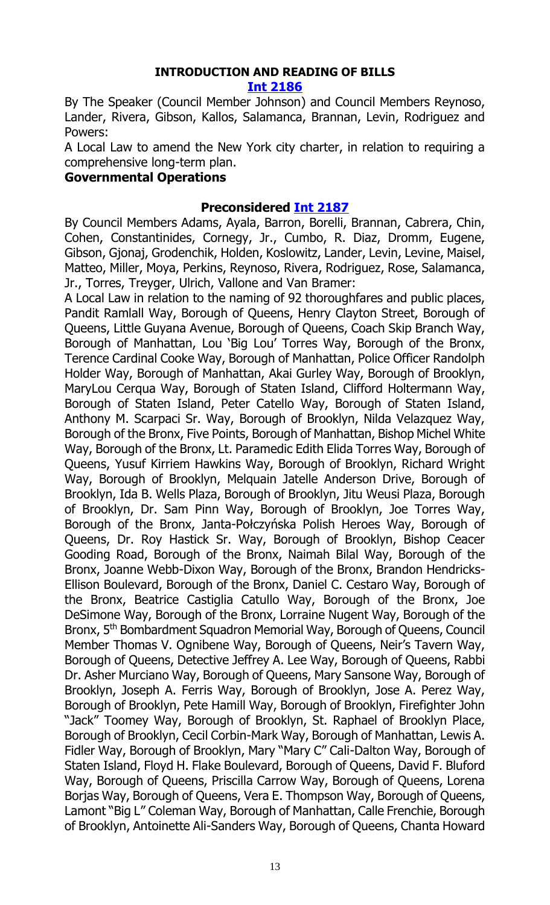#### **INTRODUCTION AND READING OF BILLS [Int 2186](https://legistar.council.nyc.gov/LegislationDetail.aspx?ID=4735629&GUID=BAACDD2D-290D-4F35-B0F7-578E4458498A&Options=ID|Text|&Search=)**

By The Speaker (Council Member Johnson) and Council Members Reynoso, Lander, Rivera, Gibson, Kallos, Salamanca, Brannan, Levin, Rodriguez and Powers:

A Local Law to amend the New York city charter, in relation to requiring a comprehensive long-term plan.

#### **Governmental Operations**

#### **Preconsidered [Int 2187](https://legistar.council.nyc.gov/LegislationDetail.aspx?ID=4734370&GUID=26BA0E27-8A2A-41E5-BD41-F8BB3CB8384B&Options=ID|Text|&Search=)**

By Council Members Adams, Ayala, Barron, Borelli, Brannan, Cabrera, Chin, Cohen, Constantinides, Cornegy, Jr., Cumbo, R. Diaz, Dromm, Eugene, Gibson, Gjonaj, Grodenchik, Holden, Koslowitz, Lander, Levin, Levine, Maisel, Matteo, Miller, Moya, Perkins, Reynoso, Rivera, Rodriguez, Rose, Salamanca, Jr., Torres, Treyger, Ulrich, Vallone and Van Bramer:

A Local Law in relation to the naming of 92 thoroughfares and public places, Pandit Ramlall Way, Borough of Queens, Henry Clayton Street, Borough of Queens, Little Guyana Avenue, Borough of Queens, Coach Skip Branch Way, Borough of Manhattan, Lou 'Big Lou' Torres Way, Borough of the Bronx, Terence Cardinal Cooke Way, Borough of Manhattan, Police Officer Randolph Holder Way, Borough of Manhattan, Akai Gurley Way, Borough of Brooklyn, MaryLou Cerqua Way, Borough of Staten Island, Clifford Holtermann Way, Borough of Staten Island, Peter Catello Way, Borough of Staten Island, Anthony M. Scarpaci Sr. Way, Borough of Brooklyn, Nilda Velazquez Way, Borough of the Bronx, Five Points, Borough of Manhattan, Bishop Michel White Way, Borough of the Bronx, Lt. Paramedic Edith Elida Torres Way, Borough of Queens, Yusuf Kirriem Hawkins Way, Borough of Brooklyn, Richard Wright Way, Borough of Brooklyn, Melquain Jatelle Anderson Drive, Borough of Brooklyn, Ida B. Wells Plaza, Borough of Brooklyn, Jitu Weusi Plaza, Borough of Brooklyn, Dr. Sam Pinn Way, Borough of Brooklyn, Joe Torres Way, Borough of the Bronx, Janta-Połczyńska Polish Heroes Way, Borough of Queens, Dr. Roy Hastick Sr. Way, Borough of Brooklyn, Bishop Ceacer Gooding Road, Borough of the Bronx, Naimah Bilal Way, Borough of the Bronx, Joanne Webb-Dixon Way, Borough of the Bronx, Brandon Hendricks-Ellison Boulevard, Borough of the Bronx, Daniel C. Cestaro Way, Borough of the Bronx, Beatrice Castiglia Catullo Way, Borough of the Bronx, Joe DeSimone Way, Borough of the Bronx, Lorraine Nugent Way, Borough of the Bronx, 5th Bombardment Squadron Memorial Way, Borough of Queens, Council Member Thomas V. Ognibene Way, Borough of Queens, Neir's Tavern Way, Borough of Queens, Detective Jeffrey A. Lee Way, Borough of Queens, Rabbi Dr. Asher Murciano Way, Borough of Queens, Mary Sansone Way, Borough of Brooklyn, Joseph A. Ferris Way, Borough of Brooklyn, Jose A. Perez Way, Borough of Brooklyn, Pete Hamill Way, Borough of Brooklyn, Firefighter John "Jack" Toomey Way, Borough of Brooklyn, St. Raphael of Brooklyn Place, Borough of Brooklyn, Cecil Corbin-Mark Way, Borough of Manhattan, Lewis A. Fidler Way, Borough of Brooklyn, Mary "Mary C" Cali-Dalton Way, Borough of Staten Island, Floyd H. Flake Boulevard, Borough of Queens, David F. Bluford Way, Borough of Queens, Priscilla Carrow Way, Borough of Queens, Lorena Borjas Way, Borough of Queens, Vera E. Thompson Way, Borough of Queens, Lamont "Big L" Coleman Way, Borough of Manhattan, Calle Frenchie, Borough of Brooklyn, Antoinette Ali-Sanders Way, Borough of Queens, Chanta Howard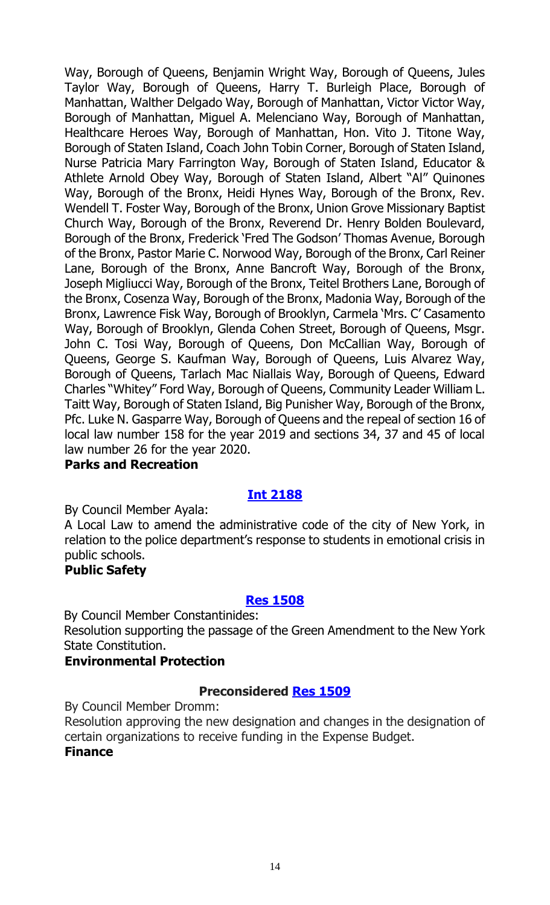Way, Borough of Queens, Benjamin Wright Way, Borough of Queens, Jules Taylor Way, Borough of Queens, Harry T. Burleigh Place, Borough of Manhattan, Walther Delgado Way, Borough of Manhattan, Victor Victor Way, Borough of Manhattan, Miguel A. Melenciano Way, Borough of Manhattan, Healthcare Heroes Way, Borough of Manhattan, Hon. Vito J. Titone Way, Borough of Staten Island, Coach John Tobin Corner, Borough of Staten Island, Nurse Patricia Mary Farrington Way, Borough of Staten Island, Educator & Athlete Arnold Obey Way, Borough of Staten Island, Albert "Al" Quinones Way, Borough of the Bronx, Heidi Hynes Way, Borough of the Bronx, Rev. Wendell T. Foster Way, Borough of the Bronx, Union Grove Missionary Baptist Church Way, Borough of the Bronx, Reverend Dr. Henry Bolden Boulevard, Borough of the Bronx, Frederick 'Fred The Godson' Thomas Avenue, Borough of the Bronx, Pastor Marie C. Norwood Way, Borough of the Bronx, Carl Reiner Lane, Borough of the Bronx, Anne Bancroft Way, Borough of the Bronx, Joseph Migliucci Way, Borough of the Bronx, Teitel Brothers Lane, Borough of the Bronx, Cosenza Way, Borough of the Bronx, Madonia Way, Borough of the Bronx, Lawrence Fisk Way, Borough of Brooklyn, Carmela 'Mrs. C' Casamento Way, Borough of Brooklyn, Glenda Cohen Street, Borough of Queens, Msgr. John C. Tosi Way, Borough of Queens, Don McCallian Way, Borough of Queens, George S. Kaufman Way, Borough of Queens, Luis Alvarez Way, Borough of Queens, Tarlach Mac Niallais Way, Borough of Queens, Edward Charles "Whitey" Ford Way, Borough of Queens, Community Leader William L. Taitt Way, Borough of Staten Island, Big Punisher Way, Borough of the Bronx, Pfc. Luke N. Gasparre Way, Borough of Queens and the repeal of section 16 of local law number 158 for the year 2019 and sections 34, 37 and 45 of local law number 26 for the year 2020.

#### **Parks and Recreation**

# **[Int 2188](https://legistar.council.nyc.gov/LegislationDetail.aspx?ID=4735630&GUID=DCF1AD99-963E-40D4-8A9D-2B5A5A5D5146&Options=ID|Text|&Search=)**

By Council Member Ayala:

A Local Law to amend the administrative code of the city of New York, in relation to the police department's response to students in emotional crisis in public schools.

# **Public Safety**

#### **[Res 1508](https://legistar.council.nyc.gov/LegislationDetail.aspx?ID=4735631&GUID=6CB29CDA-8E33-41CA-B71E-D0088E65B4DA&Options=ID|Text|&Search=)**

By Council Member Constantinides:

Resolution supporting the passage of the Green Amendment to the New York State Constitution.

# **Environmental Protection**

# **Preconsidered [Res 1509](https://legistar.council.nyc.gov/LegislationDetail.aspx?ID=4734781&GUID=6A24740F-A35B-4D0E-914A-6F5A15A438B7&Options=ID|Text|&Search=)**

By Council Member Dromm:

Resolution approving the new designation and changes in the designation of certain organizations to receive funding in the Expense Budget.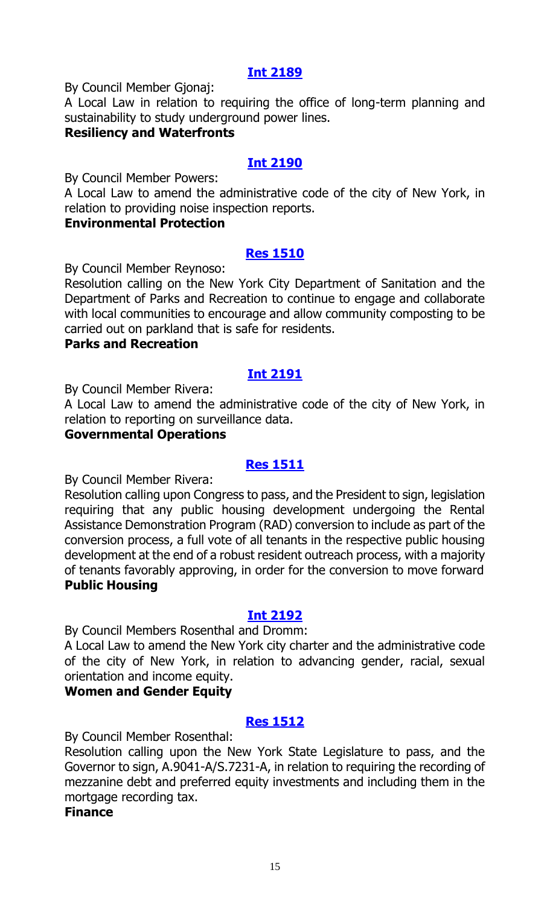# **[Int 2189](https://legistar.council.nyc.gov/LegislationDetail.aspx?ID=4735633&GUID=D29B1A27-58BD-44A4-8544-66E9FFEF7FDD&Options=ID|Text|&Search=)**

By Council Member Gjonaj:

A Local Law in relation to requiring the office of long-term planning and sustainability to study underground power lines.

#### **Resiliency and Waterfronts**

#### **[Int 2190](https://legistar.council.nyc.gov/LegislationDetail.aspx?ID=4735635&GUID=33F318E9-3948-4CFA-8EC3-F901611A475F&Options=ID|Text|&Search=)**

By Council Member Powers:

A Local Law to amend the administrative code of the city of New York, in relation to providing noise inspection reports.

#### **Environmental Protection**

#### **[Res 1510](https://legistar.council.nyc.gov/LegislationDetail.aspx?ID=4734465&GUID=C88C2313-CC6E-4B43-919F-2B917A2F82FD&Options=ID|Text|&Search=)**

By Council Member Reynoso:

Resolution calling on the New York City Department of Sanitation and the Department of Parks and Recreation to continue to engage and collaborate with local communities to encourage and allow community composting to be carried out on parkland that is safe for residents.

#### **Parks and Recreation**

#### **[Int 2191](https://legistar.council.nyc.gov/LegislationDetail.aspx?ID=4735632&GUID=9AEC685E-0E37-4D72-9265-5F96941D900E&Options=ID|Text|&Search=)**

By Council Member Rivera:

A Local Law to amend the administrative code of the city of New York, in relation to reporting on surveillance data.

#### **Governmental Operations**

#### **[Res 1511](https://legistar.council.nyc.gov/LegislationDetail.aspx?ID=4735634&GUID=3388ACBE-841C-4149-84CA-F84D4EBAC02F&Options=ID|Text|&Search=)**

By Council Member Rivera:

Resolution calling upon Congress to pass, and the President to sign, legislation requiring that any public housing development undergoing the Rental Assistance Demonstration Program (RAD) conversion to include as part of the conversion process, a full vote of all tenants in the respective public housing development at the end of a robust resident outreach process, with a majority of tenants favorably approving, in order for the conversion to move forward **Public Housing**

#### **[Int 2192](https://legistar.council.nyc.gov/LegislationDetail.aspx?ID=4735640&GUID=1004CF8C-1FFA-4DC6-B9B6-82F97ED4CE07&Options=ID|Text|&Search=)**

By Council Members Rosenthal and Dromm:

A Local Law to amend the New York city charter and the administrative code of the city of New York, in relation to advancing gender, racial, sexual orientation and income equity.

#### **Women and Gender Equity**

#### **[Res 1512](https://legistar.council.nyc.gov/LegislationDetail.aspx?ID=4735638&GUID=700DB73F-7327-4E42-9498-9415964D2BCB&Options=ID|Text|&Search=)**

By Council Member Rosenthal:

Resolution calling upon the New York State Legislature to pass, and the Governor to sign, A.9041-A/S.7231-A, in relation to requiring the recording of mezzanine debt and preferred equity investments and including them in the mortgage recording tax.